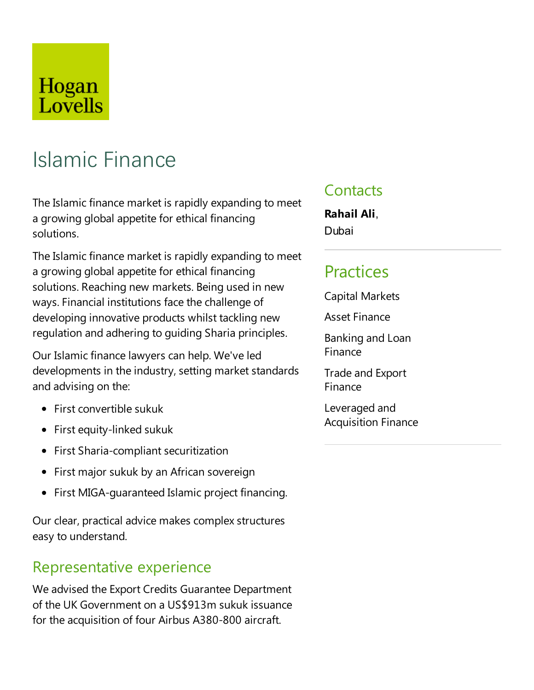## Hogan Lovells

# Islamic Finance

The Islamic finance market is rapidly expanding to meet a growing global appetite for ethical financing solutions.

The Islamic finance market is rapidly expanding to meet a growing global appetite for ethical financing solutions. Reaching new markets. Being used in new ways. Financial institutions face the challenge of developing innovative products whilst tackling new regulation and adhering to guiding Sharia principles.

Our Islamic finance lawyers can help. We've led developments in the industry, setting market standards and advising on the:

- $\bullet$  First convertible sukuk
- First equity-linked sukuk
- First Sharia-compliant securitization
- First major sukuk by an African sovereign
- First MIGA-guaranteed Islamic project financing.

Our clear, practical advice makes complex structures easy to understand.

#### Representative experience

We advised the Export Credits Guarantee Department of the UK Government on a US\$913m sukuk issuance for the acquisition of four Airbus A380-800 aircraft.

#### **Contacts**

**Rahail Ali**, Dubai

## Practices

Capital Markets

**Asset Finance** 

Banking and Loan Finance

**Trade and Export** Finance

Leveraged and Acquisition Finance